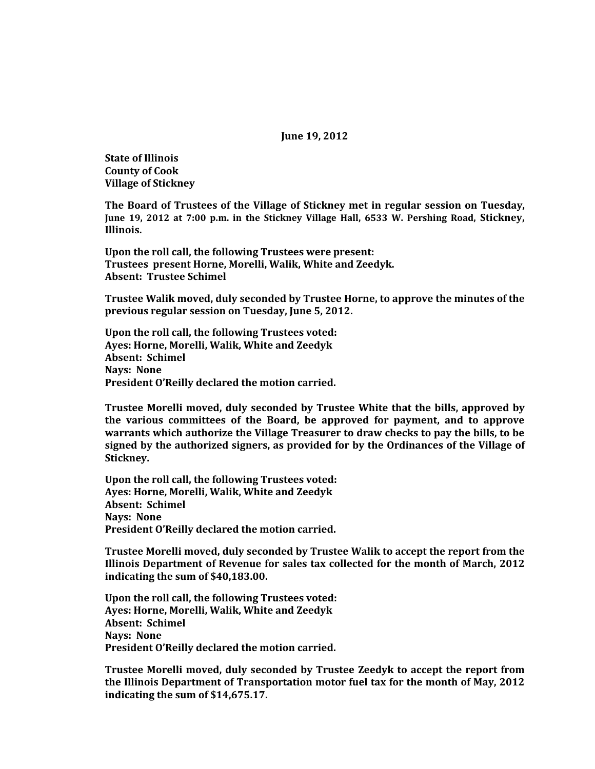**June 19, 2012**

**State of Illinois County of Cook Village of Stickney**

**The Board of Trustees of the Village of Stickney met in regular session on Tuesday, June 19, 2012 at 7:00 p.m. in the Stickney Village Hall, 6533 W. Pershing Road, Stickney, Illinois.**

**Upon the roll call, the following Trustees were present: Trustees present Horne, Morelli, Walik, White and Zeedyk. Absent: Trustee Schimel**

**Trustee Walik moved, duly seconded by Trustee Horne, to approve the minutes of the previous regular session on Tuesday, June 5, 2012.**

**Upon the roll call, the following Trustees voted: Ayes: Horne, Morelli, Walik, White and Zeedyk Absent: Schimel Nays: None President O'Reilly declared the motion carried.**

**Trustee Morelli moved, duly seconded by Trustee White that the bills, approved by the various committees of the Board, be approved for payment, and to approve warrants which authorize the Village Treasurer to draw checks to pay the bills, to be signed by the authorized signers, as provided for by the Ordinances of the Village of Stickney.**

**Upon the roll call, the following Trustees voted: Ayes: Horne, Morelli, Walik, White and Zeedyk Absent: Schimel Nays: None President O'Reilly declared the motion carried.**

**Trustee Morelli moved, duly seconded by Trustee Walik to accept the report from the Illinois Department of Revenue for sales tax collected for the month of March, 2012 indicating the sum of \$40,183.00.**

**Upon the roll call, the following Trustees voted: Ayes: Horne, Morelli, Walik, White and Zeedyk Absent: Schimel Nays: None President O'Reilly declared the motion carried.**

**Trustee Morelli moved, duly seconded by Trustee Zeedyk to accept the report from the Illinois Department of Transportation motor fuel tax for the month of May, 2012 indicating the sum of \$14,675.17.**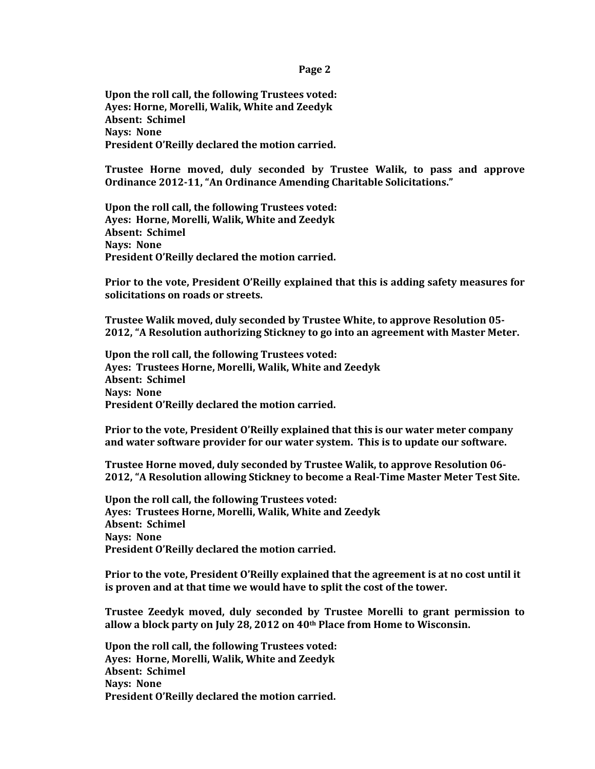**Page 2**

**Upon the roll call, the following Trustees voted: Ayes: Horne, Morelli, Walik, White and Zeedyk Absent: Schimel Nays: None President O'Reilly declared the motion carried.**

**Trustee Horne moved, duly seconded by Trustee Walik, to pass and approve Ordinance 2012-11, "An Ordinance Amending Charitable Solicitations."**

**Upon the roll call, the following Trustees voted: Ayes: Horne, Morelli, Walik, White and Zeedyk Absent: Schimel Nays: None President O'Reilly declared the motion carried.**

**Prior to the vote, President O'Reilly explained that this is adding safety measures for solicitations on roads or streets.**

**Trustee Walik moved, duly seconded by Trustee White, to approve Resolution 05- 2012, "A Resolution authorizing Stickney to go into an agreement with Master Meter.** 

**Upon the roll call, the following Trustees voted: Ayes: Trustees Horne, Morelli, Walik, White and Zeedyk Absent: Schimel Nays: None President O'Reilly declared the motion carried.** 

**Prior to the vote, President O'Reilly explained that this is our water meter company and water software provider for our water system. This is to update our software.**

**Trustee Horne moved, duly seconded by Trustee Walik, to approve Resolution 06- 2012, "A Resolution allowing Stickney to become a Real-Time Master Meter Test Site.** 

**Upon the roll call, the following Trustees voted: Ayes: Trustees Horne, Morelli, Walik, White and Zeedyk Absent: Schimel Nays: None President O'Reilly declared the motion carried.** 

**Prior to the vote, President O'Reilly explained that the agreement is at no cost until it is proven and at that time we would have to split the cost of the tower.**

**Trustee Zeedyk moved, duly seconded by Trustee Morelli to grant permission to allow a block party on July 28, 2012 on 40th Place from Home to Wisconsin.**

**Upon the roll call, the following Trustees voted: Ayes: Horne, Morelli, Walik, White and Zeedyk Absent: Schimel Nays: None President O'Reilly declared the motion carried.**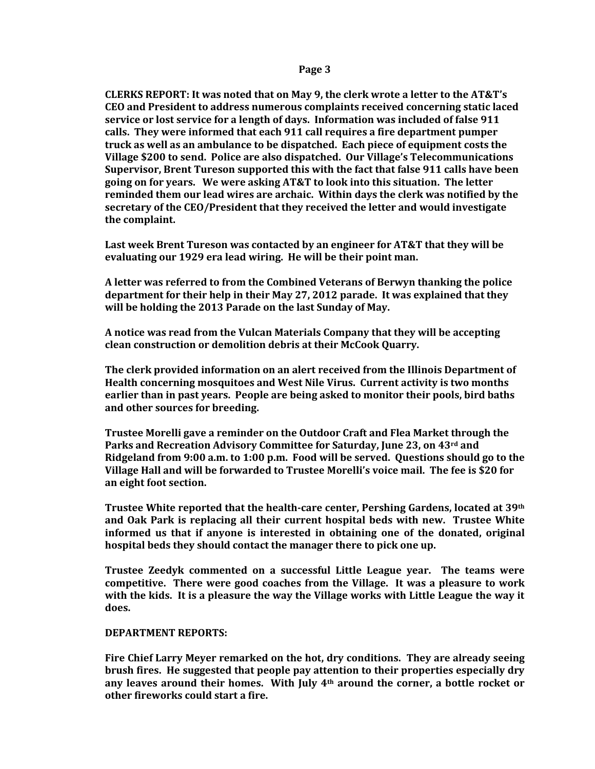## **Page 3**

**CLERKS REPORT: It was noted that on May 9, the clerk wrote a letter to the AT&T's CEO and President to address numerous complaints received concerning static laced service or lost service for a length of days. Information was included of false 911 calls. They were informed that each 911 call requires a fire department pumper truck as well as an ambulance to be dispatched. Each piece of equipment costs the Village \$200 to send. Police are also dispatched. Our Village's Telecommunications Supervisor, Brent Tureson supported this with the fact that false 911 calls have been going on for years. We were asking AT&T to look into this situation. The letter reminded them our lead wires are archaic. Within days the clerk was notified by the secretary of the CEO/President that they received the letter and would investigate the complaint.** 

**Last week Brent Tureson was contacted by an engineer for AT&T that they will be evaluating our 1929 era lead wiring. He will be their point man.**

**A letter was referred to from the Combined Veterans of Berwyn thanking the police department for their help in their May 27, 2012 parade. It was explained that they will be holding the 2013 Parade on the last Sunday of May.**

**A notice was read from the Vulcan Materials Company that they will be accepting clean construction or demolition debris at their McCook Quarry.**

**The clerk provided information on an alert received from the Illinois Department of Health concerning mosquitoes and West Nile Virus. Current activity is two months earlier than in past years. People are being asked to monitor their pools, bird baths and other sources for breeding.**

**Trustee Morelli gave a reminder on the Outdoor Craft and Flea Market through the Parks and Recreation Advisory Committee for Saturday, June 23, on 43rd and Ridgeland from 9:00 a.m. to 1:00 p.m. Food will be served. Questions should go to the Village Hall and will be forwarded to Trustee Morelli's voice mail. The fee is \$20 for an eight foot section.**

**Trustee White reported that the health-care center, Pershing Gardens, located at 39th and Oak Park is replacing all their current hospital beds with new. Trustee White informed us that if anyone is interested in obtaining one of the donated, original hospital beds they should contact the manager there to pick one up.** 

**Trustee Zeedyk commented on a successful Little League year. The teams were competitive. There were good coaches from the Village. It was a pleasure to work with the kids. It is a pleasure the way the Village works with Little League the way it does.** 

## **DEPARTMENT REPORTS:**

**Fire Chief Larry Meyer remarked on the hot, dry conditions. They are already seeing brush fires. He suggested that people pay attention to their properties especially dry any leaves around their homes. With July 4th around the corner, a bottle rocket or other fireworks could start a fire.**